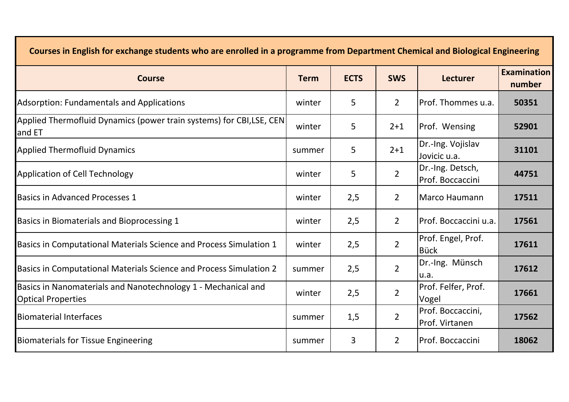| Courses in English for exchange students who are enrolled in a programme from Department Chemical and Biological Engineering |             |             |                |                                      |                              |  |
|------------------------------------------------------------------------------------------------------------------------------|-------------|-------------|----------------|--------------------------------------|------------------------------|--|
| <b>Course</b>                                                                                                                | <b>Term</b> | <b>ECTS</b> | <b>SWS</b>     | <b>Lecturer</b>                      | <b>Examination</b><br>number |  |
| <b>Adsorption: Fundamentals and Applications</b>                                                                             | winter      | 5           | $\overline{2}$ | Prof. Thommes u.a.                   | 50351                        |  |
| Applied Thermofluid Dynamics (power train systems) for CBI,LSE, CEN<br>and ET                                                | winter      | 5           | $2 + 1$        | Prof. Wensing                        | 52901                        |  |
| <b>Applied Thermofluid Dynamics</b>                                                                                          | summer      | 5           | $2 + 1$        | Dr.-Ing. Vojislav<br>Jovicic u.a.    | 31101                        |  |
| <b>Application of Cell Technology</b>                                                                                        | winter      | 5           | $\overline{2}$ | Dr.-Ing. Detsch,<br>Prof. Boccaccini | 44751                        |  |
| <b>Basics in Advanced Processes 1</b>                                                                                        | winter      | 2,5         | $\overline{2}$ | <b>Marco Haumann</b>                 | 17511                        |  |
| Basics in Biomaterials and Bioprocessing 1                                                                                   | winter      | 2,5         | $\overline{2}$ | Prof. Boccaccini u.a.                | 17561                        |  |
| Basics in Computational Materials Science and Process Simulation 1                                                           | winter      | 2,5         | $\overline{2}$ | Prof. Engel, Prof.<br><b>Bück</b>    | 17611                        |  |
| Basics in Computational Materials Science and Process Simulation 2                                                           | summer      | 2,5         | $\overline{2}$ | Dr.-Ing. Münsch<br>u.a.              | 17612                        |  |
| Basics in Nanomaterials and Nanotechnology 1 - Mechanical and<br><b>Optical Properties</b>                                   | winter      | 2,5         | $\overline{2}$ | Prof. Felfer, Prof.<br>Vogel         | 17661                        |  |
| <b>Biomaterial Interfaces</b>                                                                                                | summer      | 1,5         | $\overline{2}$ | Prof. Boccaccini,<br>Prof. Virtanen  | 17562                        |  |
| <b>Biomaterials for Tissue Engineering</b>                                                                                   | summer      | 3           | $\overline{2}$ | Prof. Boccaccini                     | 18062                        |  |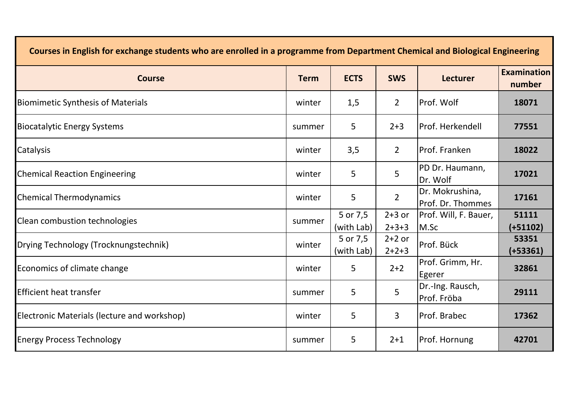| Courses in English for exchange students who are enrolled in a programme from Department Chemical and Biological Engineering |             |                        |                     |                                      |                              |  |
|------------------------------------------------------------------------------------------------------------------------------|-------------|------------------------|---------------------|--------------------------------------|------------------------------|--|
| <b>Course</b>                                                                                                                | <b>Term</b> | <b>ECTS</b>            | <b>SWS</b>          | <b>Lecturer</b>                      | <b>Examination</b><br>number |  |
| <b>Biomimetic Synthesis of Materials</b>                                                                                     | winter      | 1,5                    | $\overline{2}$      | Prof. Wolf                           | 18071                        |  |
| <b>Biocatalytic Energy Systems</b>                                                                                           | summer      | 5                      | $2 + 3$             | Prof. Herkendell                     | 77551                        |  |
| Catalysis                                                                                                                    | winter      | 3,5                    | $\overline{2}$      | Prof. Franken                        | 18022                        |  |
| <b>Chemical Reaction Engineering</b>                                                                                         | winter      | 5                      | 5                   | PD Dr. Haumann,<br>Dr. Wolf          | 17021                        |  |
| <b>Chemical Thermodynamics</b>                                                                                               | winter      | 5                      | $\overline{2}$      | Dr. Mokrushina,<br>Prof. Dr. Thommes | 17161                        |  |
| Clean combustion technologies                                                                                                | summer      | 5 or 7,5<br>(with Lab) | $2+3$ or<br>$2+3+3$ | Prof. Will, F. Bauer,<br>M.Sc        | 51111<br>$(+51102)$          |  |
| Drying Technology (Trocknungstechnik)                                                                                        | winter      | 5 or 7,5<br>(with Lab) | $2+2$ or<br>$2+2+3$ | Prof. Bück                           | 53351<br>$(+53361)$          |  |
| Economics of climate change                                                                                                  | winter      | 5                      | $2+2$               | Prof. Grimm, Hr.<br>Egerer           | 32861                        |  |
| <b>Efficient heat transfer</b>                                                                                               | summer      | 5                      | 5                   | Dr.-Ing. Rausch,<br>Prof. Fröba      | 29111                        |  |
| Electronic Materials (lecture and workshop)                                                                                  | winter      | 5                      | 3                   | Prof. Brabec                         | 17362                        |  |
| <b>Energy Process Technology</b>                                                                                             | summer      | 5                      | $2 + 1$             | Prof. Hornung                        | 42701                        |  |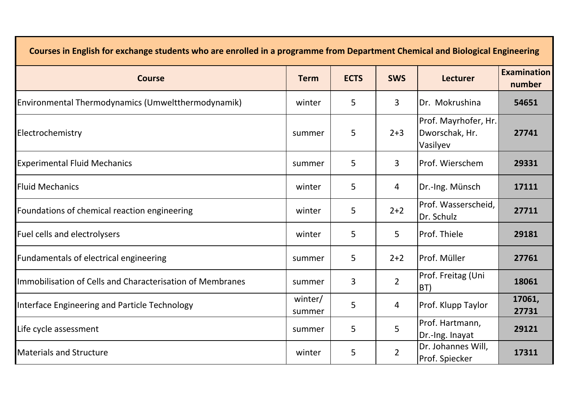| Courses in English for exchange students who are enrolled in a programme from Department Chemical and Biological Engineering |                   |             |                |                                                    |                              |  |
|------------------------------------------------------------------------------------------------------------------------------|-------------------|-------------|----------------|----------------------------------------------------|------------------------------|--|
| <b>Course</b>                                                                                                                | <b>Term</b>       | <b>ECTS</b> | <b>SWS</b>     | <b>Lecturer</b>                                    | <b>Examination</b><br>number |  |
| Environmental Thermodynamics (Umweltthermodynamik)                                                                           | winter            | 5           | $\mathbf{3}$   | Dr. Mokrushina                                     | 54651                        |  |
| Electrochemistry                                                                                                             | summer            | 5           | $2 + 3$        | Prof. Mayrhofer, Hr.<br>Dworschak, Hr.<br>Vasilyev | 27741                        |  |
| <b>Experimental Fluid Mechanics</b>                                                                                          | summer            | 5           | $\mathbf{3}$   | Prof. Wierschem                                    | 29331                        |  |
| <b>Fluid Mechanics</b>                                                                                                       | winter            | 5           | 4              | Dr.-Ing. Münsch                                    | 17111                        |  |
| Foundations of chemical reaction engineering                                                                                 | winter            | 5           | $2+2$          | Prof. Wasserscheid,<br>Dr. Schulz                  | 27711                        |  |
| Fuel cells and electrolysers                                                                                                 | winter            | 5           | 5              | Prof. Thiele                                       | 29181                        |  |
| Fundamentals of electrical engineering                                                                                       | summer            | 5           | $2+2$          | Prof. Müller                                       | 27761                        |  |
| Immobilisation of Cells and Characterisation of Membranes                                                                    | summer            | 3           | $\overline{2}$ | Prof. Freitag (Uni<br>BT)                          | 18061                        |  |
| Interface Engineering and Particle Technology                                                                                | winter/<br>summer | 5           | 4              | Prof. Klupp Taylor                                 | 17061,<br>27731              |  |
| Life cycle assessment                                                                                                        | summer            | 5           | 5              | Prof. Hartmann,<br>Dr.-Ing. Inayat                 | 29121                        |  |
| <b>Materials and Structure</b>                                                                                               | winter            | 5           | $\overline{2}$ | Dr. Johannes Will,<br>Prof. Spiecker               | 17311                        |  |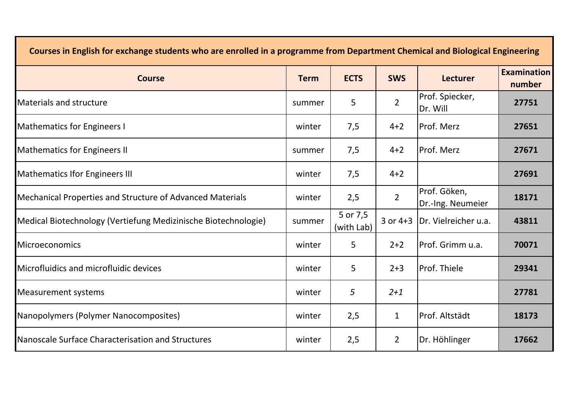| Courses in English for exchange students who are enrolled in a programme from Department Chemical and Biological Engineering |             |                        |                |                                   |                              |  |
|------------------------------------------------------------------------------------------------------------------------------|-------------|------------------------|----------------|-----------------------------------|------------------------------|--|
| <b>Course</b>                                                                                                                | <b>Term</b> | <b>ECTS</b>            | <b>SWS</b>     | <b>Lecturer</b>                   | <b>Examination</b><br>number |  |
| <b>Materials and structure</b>                                                                                               | summer      | 5                      | $\overline{2}$ | Prof. Spiecker,<br>Dr. Will       | 27751                        |  |
| <b>Mathematics for Engineers I</b>                                                                                           | winter      | 7,5                    | $4 + 2$        | <b>IProf. Merz</b>                | 27651                        |  |
| <b>Mathematics for Engineers II</b>                                                                                          | summer      | 7,5                    | $4 + 2$        | Prof. Merz                        | 27671                        |  |
| <b>Mathematics Ifor Engineers III</b>                                                                                        | winter      | 7,5                    | $4 + 2$        |                                   | 27691                        |  |
| Mechanical Properties and Structure of Advanced Materials                                                                    | winter      | 2,5                    | $\overline{2}$ | Prof. Göken,<br>Dr.-Ing. Neumeier | 18171                        |  |
| Medical Biotechnology (Vertiefung Medizinische Biotechnologie)                                                               | summer      | 5 or 7,5<br>(with Lab) | $3$ or $4+3$   | IDr. Vielreicher u.a.             | 43811                        |  |
| <b>Microeconomics</b>                                                                                                        | winter      | 5                      | $2+2$          | lProf. Grimm u.a.                 | 70071                        |  |
| Microfluidics and microfluidic devices                                                                                       | winter      | 5                      | $2 + 3$        | Prof. Thiele                      | 29341                        |  |
| <b>Measurement systems</b>                                                                                                   | winter      | 5                      | $2 + 1$        |                                   | 27781                        |  |
| Nanopolymers (Polymer Nanocomposites)                                                                                        | winter      | 2,5                    | $\mathbf{1}$   | lProf. Altstädt                   | 18173                        |  |
| Nanoscale Surface Characterisation and Structures                                                                            | winter      | 2,5                    | $\overline{2}$ | Dr. Höhlinger                     | 17662                        |  |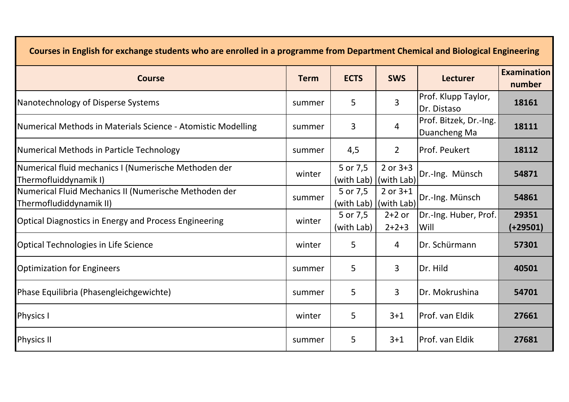| Courses in English for exchange students who are enrolled in a programme from Department Chemical and Biological Engineering |             |                                   |                            |                                        |                              |  |
|------------------------------------------------------------------------------------------------------------------------------|-------------|-----------------------------------|----------------------------|----------------------------------------|------------------------------|--|
| <b>Course</b>                                                                                                                | <b>Term</b> | <b>ECTS</b>                       | <b>SWS</b>                 | <b>Lecturer</b>                        | <b>Examination</b><br>number |  |
| Nanotechnology of Disperse Systems                                                                                           | summer      | 5                                 | 3                          | Prof. Klupp Taylor,<br>Dr. Distaso     | 18161                        |  |
| Numerical Methods in Materials Science - Atomistic Modelling                                                                 | summer      | 3                                 | 4                          | Prof. Bitzek, Dr.-Ing.<br>Duancheng Ma | 18111                        |  |
| Numerical Methods in Particle Technology                                                                                     | summer      | 4,5                               | $\overline{2}$             | <b>Prof. Peukert</b>                   | 18112                        |  |
| Numerical fluid mechanics I (Numerische Methoden der<br>Thermofluiddynamik I)                                                | winter      | 5 or 7,5<br>(with Lab)            | $2$ or $3+3$<br>(with Lab) | Dr.-Ing. Münsch                        | 54871                        |  |
| Numerical Fluid Mechanics II (Numerische Methoden der<br>Thermofludiddynamik II)                                             | summer      | 5 or 7,5<br>(with Lab) (with Lab) | $2$ or $3+1$               | Dr.-Ing. Münsch                        | 54861                        |  |
| <b>Optical Diagnostics in Energy and Process Engineering</b>                                                                 | winter      | 5 or 7,5<br>(with Lab)            | $2+2$ or<br>$2 + 2 + 3$    | Dr.-Ing. Huber, Prof.<br>Will          | 29351<br>(+29501)            |  |
| <b>Optical Technologies in Life Science</b>                                                                                  | winter      | 5                                 | 4                          | Dr. Schürmann                          | 57301                        |  |
| <b>Optimization for Engineers</b>                                                                                            | summer      | 5                                 | $\overline{3}$             | Dr. Hild                               | 40501                        |  |
| Phase Equilibria (Phasengleichgewichte)                                                                                      | summer      | 5                                 | $\overline{3}$             | Dr. Mokrushina                         | 54701                        |  |
| <b>Physics I</b>                                                                                                             | winter      | 5                                 | $3 + 1$                    | Prof. van Eldik                        | 27661                        |  |
| <b>Physics II</b>                                                                                                            | summer      | 5                                 | $3 + 1$                    | Prof. van Eldik                        | 27681                        |  |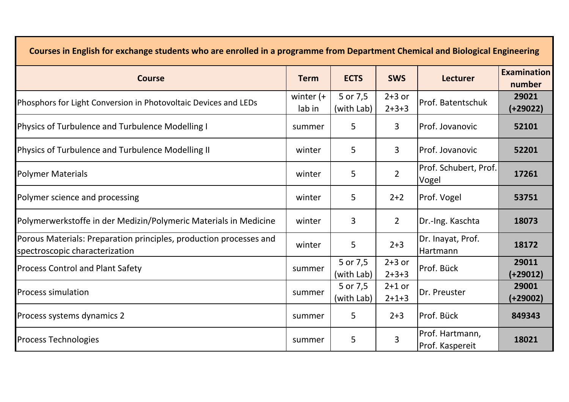| Courses in English for exchange students who are enrolled in a programme from Department Chemical and Biological Engineering |                        |                        |                     |                                    |                              |  |
|------------------------------------------------------------------------------------------------------------------------------|------------------------|------------------------|---------------------|------------------------------------|------------------------------|--|
| <b>Course</b>                                                                                                                | <b>Term</b>            | <b>ECTS</b>            | <b>SWS</b>          | <b>Lecturer</b>                    | <b>Examination</b><br>number |  |
| Phosphors for Light Conversion in Photovoltaic Devices and LEDs                                                              | winter $(+)$<br>lab in | 5 or 7,5<br>(with Lab) | $2+3$ or<br>$2+3+3$ | Prof. Batentschuk                  | 29021<br>$(+29022)$          |  |
| Physics of Turbulence and Turbulence Modelling I                                                                             | summer                 | 5                      | 3                   | Prof. Jovanovic                    | 52101                        |  |
| Physics of Turbulence and Turbulence Modelling II                                                                            | winter                 | 5                      | $\overline{3}$      | Prof. Jovanovic                    | 52201                        |  |
| <b>Polymer Materials</b>                                                                                                     | winter                 | 5                      | $\overline{2}$      | Prof. Schubert, Prof.<br>Vogel     | 17261                        |  |
| Polymer science and processing                                                                                               | winter                 | 5                      | $2+2$               | Prof. Vogel                        | 53751                        |  |
| Polymerwerkstoffe in der Medizin/Polymeric Materials in Medicine                                                             | winter                 | 3                      | $\overline{2}$      | Dr.-Ing. Kaschta                   | 18073                        |  |
| Porous Materials: Preparation principles, production processes and<br>spectroscopic characterization                         | winter                 | 5                      | $2 + 3$             | Dr. Inayat, Prof.<br>Hartmann      | 18172                        |  |
| <b>Process Control and Plant Safety</b>                                                                                      | summer                 | 5 or 7,5<br>(with Lab) | $2+3$ or<br>$2+3+3$ | Prof. Bück                         | 29011<br>(+29012)            |  |
| <b>Process simulation</b>                                                                                                    | summer                 | 5 or 7,5<br>(with Lab) | $2+1$ or<br>$2+1+3$ | Dr. Preuster                       | 29001<br>$(+29002)$          |  |
| Process systems dynamics 2                                                                                                   | summer                 | 5                      | $2 + 3$             | Prof. Bück                         | 849343                       |  |
| <b>Process Technologies</b>                                                                                                  | summer                 | 5                      | 3                   | Prof. Hartmann,<br>Prof. Kaspereit | 18021                        |  |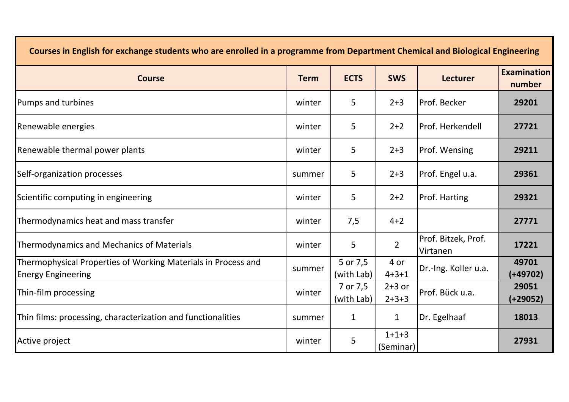| Courses in English for exchange students who are enrolled in a programme from Department Chemical and Biological Engineering |             |                        |                      |                                 |                              |  |
|------------------------------------------------------------------------------------------------------------------------------|-------------|------------------------|----------------------|---------------------------------|------------------------------|--|
| <b>Course</b>                                                                                                                | <b>Term</b> | <b>ECTS</b>            | <b>SWS</b>           | <b>Lecturer</b>                 | <b>Examination</b><br>number |  |
| Pumps and turbines                                                                                                           | winter      | 5                      | $2 + 3$              | lProf. Becker                   | 29201                        |  |
| Renewable energies                                                                                                           | winter      | 5                      | $2+2$                | lProf. Herkendell               | 27721                        |  |
| Renewable thermal power plants                                                                                               | winter      | 5                      | $2 + 3$              | Prof. Wensing                   | 29211                        |  |
| Self-organization processes                                                                                                  | summer      | 5                      | $2 + 3$              | Prof. Engel u.a.                | 29361                        |  |
| Scientific computing in engineering                                                                                          | winter      | 5                      | $2+2$                | <b>Prof. Harting</b>            | 29321                        |  |
| Thermodynamics heat and mass transfer                                                                                        | winter      | 7,5                    | $4 + 2$              |                                 | 27771                        |  |
| <b>Thermodynamics and Mechanics of Materials</b>                                                                             | winter      | 5                      | $\overline{2}$       | Prof. Bitzek, Prof.<br>Virtanen | 17221                        |  |
| Thermophysical Properties of Working Materials in Process and<br><b>Energy Engineering</b>                                   | summer      | 5 or 7,5<br>(with Lab) | 4 or<br>$4 + 3 + 1$  | Dr.-Ing. Koller u.a.            | 49701<br>(+49702)            |  |
| Thin-film processing                                                                                                         | winter      | 7 or 7,5<br>(with Lab) | $2+3$ or<br>$2+3+3$  | Prof. Bück u.a.                 | 29051<br>(+29052)            |  |
| Thin films: processing, characterization and functionalities                                                                 | summer      | $\mathbf{1}$           | $\mathbf{1}$         | Dr. Egelhaaf                    | 18013                        |  |
| Active project                                                                                                               | winter      | 5                      | $1+1+3$<br>(Seminar) |                                 | 27931                        |  |